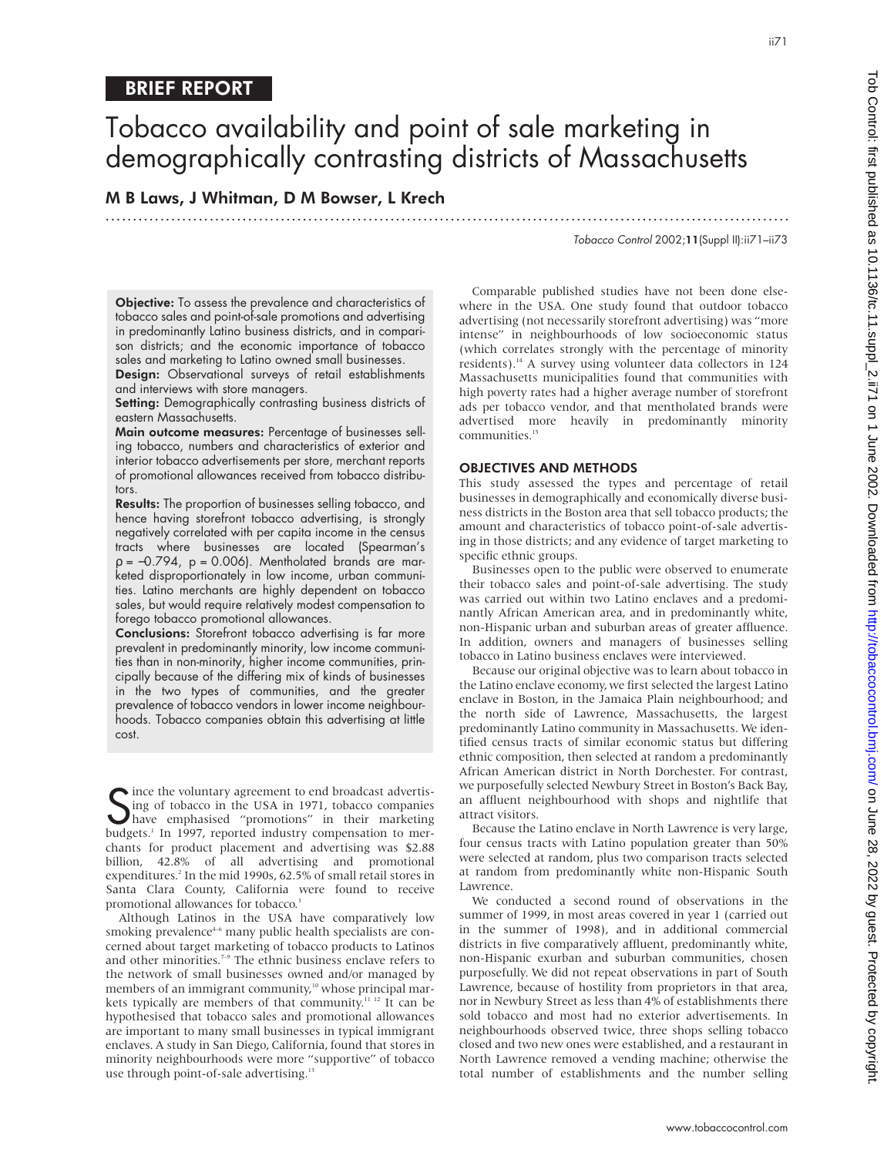# Tobacco availability and point of sale marketing in demographically contrasting districts of Massachusetts

.............................................................................................................................

M B Laws, J Whitman, D M Bowser, L Krech

Tobacco Control 2002;11(Suppl II):ii71–ii73

ii71

Objective: To assess the prevalence and characteristics of tobacco sales and point-of-sale promotions and advertising in predominantly Latino business districts, and in comparison districts; and the economic importance of tobacco sales and marketing to Latino owned small businesses.

Design: Observational surveys of retail establishments and interviews with store managers.

Setting: Demographically contrasting business districts of eastern Massachusetts.

Main outcome measures: Percentage of businesses selling tobacco, numbers and characteristics of exterior and interior tobacco advertisements per store, merchant reports of promotional allowances received from tobacco distributors.

Results: The proportion of businesses selling tobacco, and hence having storefront tobacco advertising, is strongly negatively correlated with per capita income in the census tracts where businesses are located (Spearman's  $p = -0.794$ ,  $p = 0.006$ . Mentholated brands are marketed disproportionately in low income, urban communities. Latino merchants are highly dependent on tobacco sales, but would require relatively modest compensation to forego tobacco promotional allowances.

Conclusions: Storefront tobacco advertising is far more prevalent in predominantly minority, low income communities than in non-minority, higher income communities, principally because of the differing mix of kinds of businesses in the two types of communities, and the greater prevalence of tobacco vendors in lower income neighbourhoods. Tobacco companies obtain this advertising at little cost.

Since the voluntary agreement to end broadcast advertis-<br>Sing of tobacco in the USA in 1971, tobacco companies<br>hudgets<sup>1</sup> In 1997 reported industry compensation to mering of tobacco in the USA in 1971, tobacco companies have emphasised "promotions" in their marketing budgets.<sup>1</sup> In 1997, reported industry compensation to merchants for product placement and advertising was \$2.88 billion, 42.8% of all advertising and promotional expenditures.<sup>2</sup> In the mid 1990s, 62.5% of small retail stores in Santa Clara County, California were found to receive promotional allowances for tobacco.<sup>3</sup>

Although Latinos in the USA have comparatively low smoking prevalence<sup>4-6</sup> many public health specialists are concerned about target marketing of tobacco products to Latinos and other minorities.<sup>7-9</sup> The ethnic business enclave refers to the network of small businesses owned and/or managed by members of an immigrant community,<sup>10</sup> whose principal markets typically are members of that community.<sup>11 12</sup> It can be hypothesised that tobacco sales and promotional allowances are important to many small businesses in typical immigrant enclaves. A study in San Diego, California, found that stores in minority neighbourhoods were more "supportive" of tobacco use through point-of-sale advertising.<sup>13</sup>

Comparable published studies have not been done elsewhere in the USA. One study found that outdoor tobacco advertising (not necessarily storefront advertising) was "more intense" in neighbourhoods of low socioeconomic status (which correlates strongly with the percentage of minority residents).<sup>14</sup> A survey using volunteer data collectors in 124 Massachusetts municipalities found that communities with high poverty rates had a higher average number of storefront ads per tobacco vendor, and that mentholated brands were advertised more heavily in predominantly minority communities.<sup>15</sup>

# OBJECTIVES AND METHODS

This study assessed the types and percentage of retail businesses in demographically and economically diverse business districts in the Boston area that sell tobacco products; the amount and characteristics of tobacco point-of-sale advertising in those districts; and any evidence of target marketing to specific ethnic groups.

Businesses open to the public were observed to enumerate their tobacco sales and point-of-sale advertising. The study was carried out within two Latino enclaves and a predominantly African American area, and in predominantly white, non-Hispanic urban and suburban areas of greater affluence. In addition, owners and managers of businesses selling tobacco in Latino business enclaves were interviewed.

Because our original objective was to learn about tobacco in the Latino enclave economy, we first selected the largest Latino enclave in Boston, in the Jamaica Plain neighbourhood; and the north side of Lawrence, Massachusetts, the largest predominantly Latino community in Massachusetts. We identified census tracts of similar economic status but differing ethnic composition, then selected at random a predominantly African American district in North Dorchester. For contrast, we purposefully selected Newbury Street in Boston's Back Bay, an affluent neighbourhood with shops and nightlife that attract visitors.

Because the Latino enclave in North Lawrence is very large, four census tracts with Latino population greater than 50% were selected at random, plus two comparison tracts selected at random from predominantly white non-Hispanic South Lawrence.

We conducted a second round of observations in the summer of 1999, in most areas covered in year 1 (carried out in the summer of 1998), and in additional commercial districts in five comparatively affluent, predominantly white, non-Hispanic exurban and suburban communities, chosen purposefully. We did not repeat observations in part of South Lawrence, because of hostility from proprietors in that area, nor in Newbury Street as less than 4% of establishments there sold tobacco and most had no exterior advertisements. In neighbourhoods observed twice, three shops selling tobacco closed and two new ones were established, and a restaurant in North Lawrence removed a vending machine; otherwise the total number of establishments and the number selling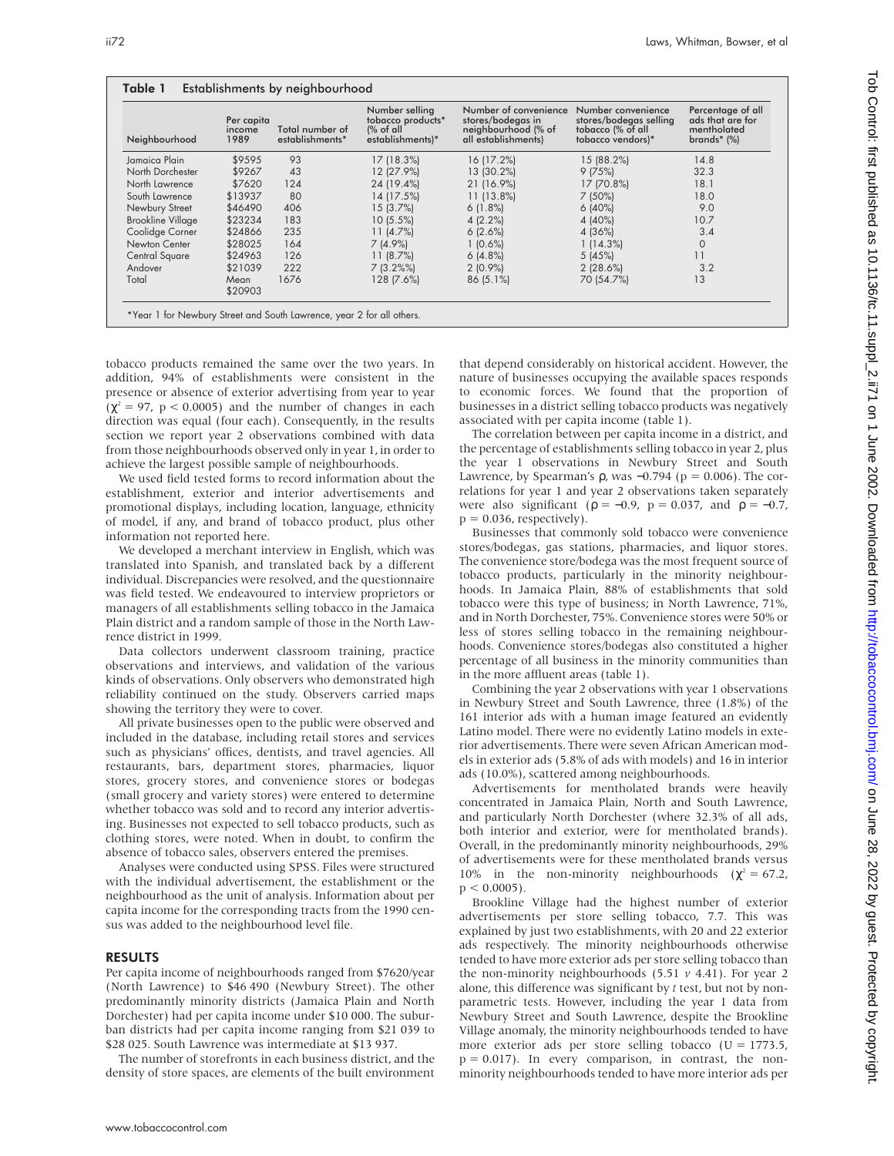| Neighbourhood            | Per capita<br>income<br>1989 | Total number of<br>establishments* | Number selling<br>tobacco products*<br>$%$ of all<br>establishments)* | Number of convenience<br>stores/bodegas in<br>neighbourhood (% of<br>all establishments) | Number convenience<br>stores/bodegas selling<br>tobacco (% of all<br>tobacco vendors)* | Percentage of all<br>ads that are for<br>mentholated<br>brands $*(\%)$ |
|--------------------------|------------------------------|------------------------------------|-----------------------------------------------------------------------|------------------------------------------------------------------------------------------|----------------------------------------------------------------------------------------|------------------------------------------------------------------------|
| Jamaica Plain            | \$9595                       | 93                                 | 17(18.3%)                                                             | 16 (17.2%)                                                                               | 15 (88.2%)                                                                             | 14.8                                                                   |
| North Dorchester         | \$9267                       | 43                                 | 12 (27.9%)                                                            | 13 (30.2%)                                                                               | 9(75%)                                                                                 | 32.3                                                                   |
| North Lawrence           | \$7620                       | 124                                | 24 (19.4%)                                                            | 21 (16.9%)                                                                               | 17 (70.8%)                                                                             | 18.1                                                                   |
| South Lawrence           | \$13937                      | 80                                 | 14 (17.5%)                                                            | $11(13.8\%)$                                                                             | 7(50%)                                                                                 | 18.0                                                                   |
| Newbury Street           | \$46490                      | 406                                | 15(3.7%)                                                              | 6(1.8%)                                                                                  | 6(40%)                                                                                 | 9.0                                                                    |
| <b>Brookline Village</b> | \$23234                      | 183                                | $10(5.5\%)$                                                           | 4(2.2%)                                                                                  | 4 (40%)                                                                                | 10.7                                                                   |
| Coolidge Corner          | \$24866                      | 235                                | 11(4.7%)                                                              | 6(2.6%)                                                                                  | 4 (36%)                                                                                | 3.4                                                                    |
| Newton Center            | \$28025                      | 164                                | $7(4.9\%)$                                                            | 1(0.6%)                                                                                  | 1 (14.3%)                                                                              | $\circ$                                                                |
| Central Square           | \$24963                      | 126                                | 11(8.7%)                                                              | 6(4.8%)                                                                                  | 5(45%)                                                                                 | 11                                                                     |
| Andover                  | \$21039                      | 222                                | $7(3.2\%)$                                                            | $2(0.9\%)$                                                                               | 2(28.6%)                                                                               | 3.2                                                                    |
| Total                    | Mean<br>\$20903              | 1676                               | 128 (7.6%)                                                            | $86(5.1\%)$                                                                              | 70 (54.7%)                                                                             | 13                                                                     |

tobacco products remained the same over the two years. In addition, 94% of establishments were consistent in the presence or absence of exterior advertising from year to year  $(\chi^2 = 97, p < 0.0005)$  and the number of changes in each direction was equal (four each). Consequently, in the results section we report year 2 observations combined with data from those neighbourhoods observed only in year 1, in order to achieve the largest possible sample of neighbourhoods.

We used field tested forms to record information about the establishment, exterior and interior advertisements and promotional displays, including location, language, ethnicity of model, if any, and brand of tobacco product, plus other information not reported here.

We developed a merchant interview in English, which was translated into Spanish, and translated back by a different individual. Discrepancies were resolved, and the questionnaire was field tested. We endeavoured to interview proprietors or managers of all establishments selling tobacco in the Jamaica Plain district and a random sample of those in the North Lawrence district in 1999.

Data collectors underwent classroom training, practice observations and interviews, and validation of the various kinds of observations. Only observers who demonstrated high reliability continued on the study. Observers carried maps showing the territory they were to cover.

All private businesses open to the public were observed and included in the database, including retail stores and services such as physicians' offices, dentists, and travel agencies. All restaurants, bars, department stores, pharmacies, liquor stores, grocery stores, and convenience stores or bodegas (small grocery and variety stores) were entered to determine whether tobacco was sold and to record any interior advertising. Businesses not expected to sell tobacco products, such as clothing stores, were noted. When in doubt, to confirm the absence of tobacco sales, observers entered the premises.

Analyses were conducted using SPSS. Files were structured with the individual advertisement, the establishment or the neighbourhood as the unit of analysis. Information about per capita income for the corresponding tracts from the 1990 census was added to the neighbourhood level file.

### RESULTS

Per capita income of neighbourhoods ranged from \$7620/year (North Lawrence) to \$46 490 (Newbury Street). The other predominantly minority districts (Jamaica Plain and North Dorchester) had per capita income under \$10 000. The suburban districts had per capita income ranging from \$21 039 to \$28 025. South Lawrence was intermediate at \$13 937.

The number of storefronts in each business district, and the density of store spaces, are elements of the built environment

that depend considerably on historical accident. However, the nature of businesses occupying the available spaces responds to economic forces. We found that the proportion of businesses in a district selling tobacco products was negatively associated with per capita income (table 1).

The correlation between per capita income in a district, and the percentage of establishments selling tobacco in year 2, plus the year 1 observations in Newbury Street and South Lawrence, by Spearman's  $\rho$ , was -0.794 ( $p = 0.006$ ). The correlations for year 1 and year 2 observations taken separately were also significant ( $p = -0.9$ ,  $p = 0.037$ , and  $p = -0.7$ ,  $p = 0.036$ , respectively).

Businesses that commonly sold tobacco were convenience stores/bodegas, gas stations, pharmacies, and liquor stores. The convenience store/bodega was the most frequent source of tobacco products, particularly in the minority neighbourhoods. In Jamaica Plain, 88% of establishments that sold tobacco were this type of business; in North Lawrence, 71%, and in North Dorchester, 75%. Convenience stores were 50% or less of stores selling tobacco in the remaining neighbourhoods. Convenience stores/bodegas also constituted a higher percentage of all business in the minority communities than in the more affluent areas (table 1).

Combining the year 2 observations with year 1 observations in Newbury Street and South Lawrence, three (1.8%) of the 161 interior ads with a human image featured an evidently Latino model. There were no evidently Latino models in exterior advertisements. There were seven African American models in exterior ads (5.8% of ads with models) and 16 in interior ads (10.0%), scattered among neighbourhoods.

Advertisements for mentholated brands were heavily concentrated in Jamaica Plain, North and South Lawrence, and particularly North Dorchester (where 32.3% of all ads, both interior and exterior, were for mentholated brands). Overall, in the predominantly minority neighbourhoods, 29% of advertisements were for these mentholated brands versus 10% in the non-minority neighbourhoods ( $\chi^2 = 67.2$ ,  $p < 0.0005$ ).

Brookline Village had the highest number of exterior advertisements per store selling tobacco, 7.7. This was explained by just two establishments, with 20 and 22 exterior ads respectively. The minority neighbourhoods otherwise tended to have more exterior ads per store selling tobacco than the non-minority neighbourhoods (5.51 *v* 4.41). For year 2 alone, this difference was significant by *t* test, but not by nonparametric tests. However, including the year 1 data from Newbury Street and South Lawrence, despite the Brookline Village anomaly, the minority neighbourhoods tended to have more exterior ads per store selling tobacco ( $U = 1773.5$ ,  $p = 0.017$ ). In every comparison, in contrast, the nonminority neighbourhoods tended to have more interior ads per